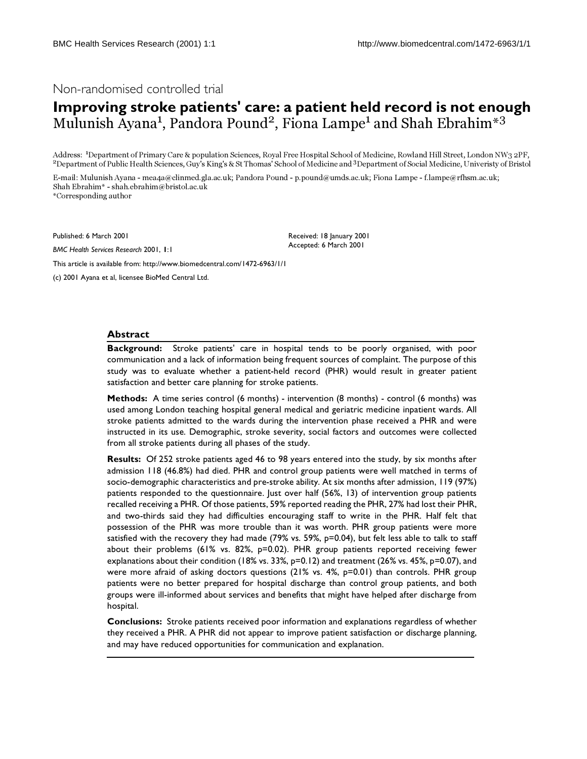# Non-randomised controlled trial

# **Improving stroke patients' care: a patient held record is not enough** Mulunish Ayana<sup>1</sup>, Pandora Pound<sup>2</sup>, Fiona Lampe<sup>1</sup> and Shah Ebrahim<sup>\*3</sup>

Address: <sup>1</sup>Department of Primary Care & population Sciences, Royal Free Hospital School of Medicine, Rowland Hill Street, London NW3 2PF, <sup>2</sup>Department of Public Health Sciences, Guy's King's & St Thomas' School of Medicine and <sup>3</sup>Department of Social Medicine, Univeristy of Bristol

E-mail: Mulunish Ayana - mea4a@clinmed.gla.ac.uk; Pandora Pound - p.pound@umds.ac.uk; Fiona Lampe - f.lampe@rfhsm.ac.uk; Shah Ebrahim\* - shah.ebrahim@bristol.ac.uk \*Corresponding author

Published: 6 March 2001

*BMC Health Services Research* 2001, **1**:1

Received: 18 January 2001 Accepted: 6 March 2001

[This article is available from: http://www.biomedcentral.com/1472-6963/1/1](http://www.biomedcentral.com/1472-6963/1/1)

(c) 2001 Ayana et al, licensee BioMed Central Ltd.

#### **Abstract**

**Background:** Stroke patients' care in hospital tends to be poorly organised, with poor communication and a lack of information being frequent sources of complaint. The purpose of this study was to evaluate whether a patient-held record (PHR) would result in greater patient satisfaction and better care planning for stroke patients.

**Methods:** A time series control (6 months) - intervention (8 months) - control (6 months) was used among London teaching hospital general medical and geriatric medicine inpatient wards. All stroke patients admitted to the wards during the intervention phase received a PHR and were instructed in its use. Demographic, stroke severity, social factors and outcomes were collected from all stroke patients during all phases of the study.

**Results:** Of 252 stroke patients aged 46 to 98 years entered into the study, by six months after admission 118 (46.8%) had died. PHR and control group patients were well matched in terms of socio-demographic characteristics and pre-stroke ability. At six months after admission, 119 (97%) patients responded to the questionnaire. Just over half (56%, 13) of intervention group patients recalled receiving a PHR. Of those patients, 59% reported reading the PHR, 27% had lost their PHR, and two-thirds said they had difficulties encouraging staff to write in the PHR. Half felt that possession of the PHR was more trouble than it was worth. PHR group patients were more satisfied with the recovery they had made (79% vs. 59%, p=0.04), but felt less able to talk to staff about their problems (61% vs. 82%, p=0.02). PHR group patients reported receiving fewer explanations about their condition (18% vs. 33%, p=0.12) and treatment (26% vs. 45%, p=0.07), and were more afraid of asking doctors questions (21% vs.  $4\%$ , p=0.01) than controls. PHR group patients were no better prepared for hospital discharge than control group patients, and both groups were ill-informed about services and benefits that might have helped after discharge from hospital.

**Conclusions:** Stroke patients received poor information and explanations regardless of whether they received a PHR. A PHR did not appear to improve patient satisfaction or discharge planning, and may have reduced opportunities for communication and explanation.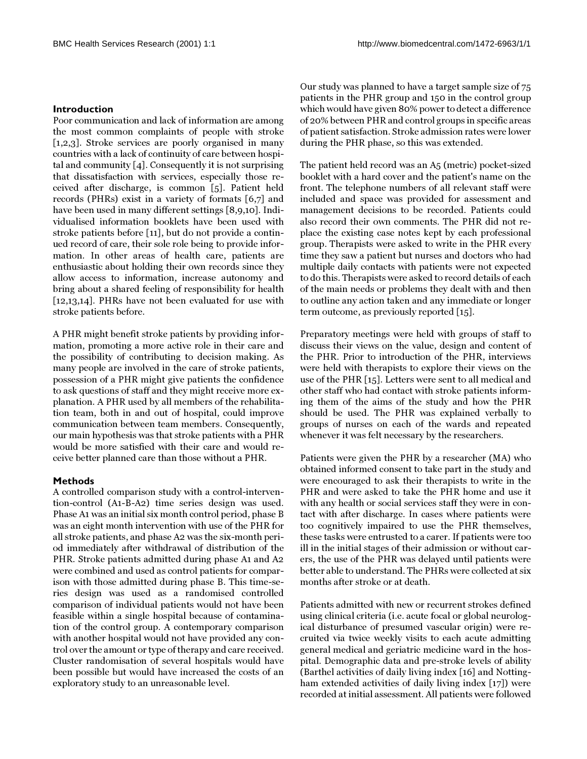# **Introduction**

Poor communication and lack of information are among the most common complaints of people with stroke [[1](#page-5-0),[2](#page-5-1),[3](#page-5-2)]. Stroke services are poorly organised in many countries with a lack of continuity of care between hospital and community [\[4\]](#page-5-3). Consequently it is not surprising that dissatisfaction with services, especially those received after discharge, is common [\[5\]](#page-5-4). Patient held records (PHRs) exist in a variety of formats [\[6](#page-5-5)[,7](#page-5-6)] and have been used in many different settings [\[8](#page-5-7)[,9](#page-5-8),[10\]](#page-5-9). Individualised information booklets have been used with stroke patients before [\[11](#page-5-10)], but do not provide a continued record of care, their sole role being to provide information. In other areas of health care, patients are enthusiastic about holding their own records since they allow access to information, increase autonomy and bring about a shared feeling of responsibility for health [[12](#page-5-11)[,13,](#page-5-12)[14](#page-5-13)]. PHRs have not been evaluated for use with stroke patients before.

A PHR might benefit stroke patients by providing information, promoting a more active role in their care and the possibility of contributing to decision making. As many people are involved in the care of stroke patients, possession of a PHR might give patients the confidence to ask questions of staff and they might receive more explanation. A PHR used by all members of the rehabilitation team, both in and out of hospital, could improve communication between team members. Consequently, our main hypothesis was that stroke patients with a PHR would be more satisfied with their care and would receive better planned care than those without a PHR.

#### **Methods**

A controlled comparison study with a control-intervention-control (A1-B-A2) time series design was used. Phase A1 was an initial six month control period, phase B was an eight month intervention with use of the PHR for all stroke patients, and phase A2 was the six-month period immediately after withdrawal of distribution of the PHR. Stroke patients admitted during phase A1 and A2 were combined and used as control patients for comparison with those admitted during phase B. This time-series design was used as a randomised controlled comparison of individual patients would not have been feasible within a single hospital because of contamination of the control group. A contemporary comparison with another hospital would not have provided any control over the amount or type of therapy and care received. Cluster randomisation of several hospitals would have been possible but would have increased the costs of an exploratory study to an unreasonable level.

Our study was planned to have a target sample size of 75 patients in the PHR group and 150 in the control group which would have given 80% power to detect a difference of 20% between PHR and control groups in specific areas of patient satisfaction. Stroke admission rates were lower during the PHR phase, so this was extended.

The patient held record was an A5 (metric) pocket-sized booklet with a hard cover and the patient's name on the front. The telephone numbers of all relevant staff were included and space was provided for assessment and management decisions to be recorded. Patients could also record their own comments. The PHR did not replace the existing case notes kept by each professional group. Therapists were asked to write in the PHR every time they saw a patient but nurses and doctors who had multiple daily contacts with patients were not expected to do this. Therapists were asked to record details of each of the main needs or problems they dealt with and then to outline any action taken and any immediate or longer term outcome, as previously reported [[15](#page-5-14)].

Preparatory meetings were held with groups of staff to discuss their views on the value, design and content of the PHR. Prior to introduction of the PHR, interviews were held with therapists to explore their views on the use of the PHR [[15](#page-5-14)]. Letters were sent to all medical and other staff who had contact with stroke patients informing them of the aims of the study and how the PHR should be used. The PHR was explained verbally to groups of nurses on each of the wards and repeated whenever it was felt necessary by the researchers.

Patients were given the PHR by a researcher (MA) who obtained informed consent to take part in the study and were encouraged to ask their therapists to write in the PHR and were asked to take the PHR home and use it with any health or social services staff they were in contact with after discharge. In cases where patients were too cognitively impaired to use the PHR themselves, these tasks were entrusted to a carer. If patients were too ill in the initial stages of their admission or without carers, the use of the PHR was delayed until patients were better able to understand. The PHRs were collected at six months after stroke or at death.

Patients admitted with new or recurrent strokes defined using clinical criteria (i.e. acute focal or global neurological disturbance of presumed vascular origin) were recruited via twice weekly visits to each acute admitting general medical and geriatric medicine ward in the hospital. Demographic data and pre-stroke levels of ability (Barthel activities of daily living index [[16](#page-5-15)] and Nottingham extended activities of daily living index [[17\]](#page-5-16)) were recorded at initial assessment. All patients were followed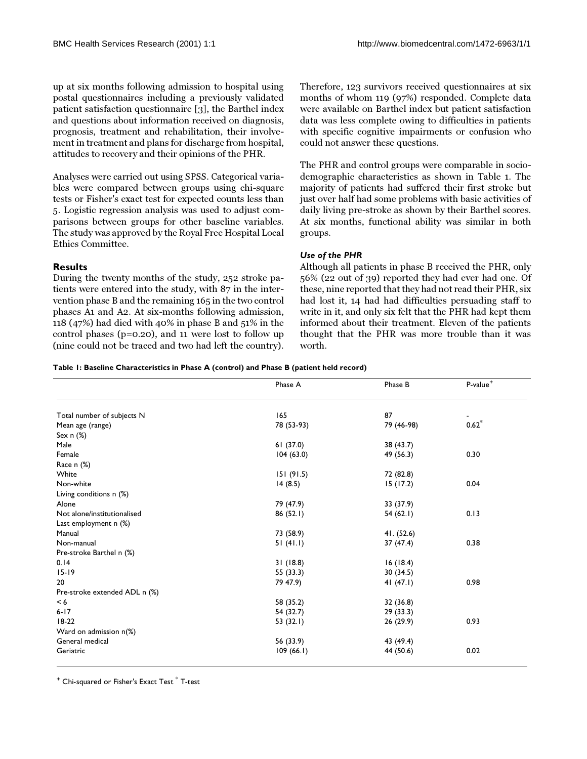up at six months following admission to hospital using postal questionnaires including a previously validated patient satisfaction questionnaire [\[3\]](#page-5-2), the Barthel index and questions about information received on diagnosis, prognosis, treatment and rehabilitation, their involvement in treatment and plans for discharge from hospital, attitudes to recovery and their opinions of the PHR.

Analyses were carried out using SPSS. Categorical variables were compared between groups using chi-square tests or Fisher's exact test for expected counts less than 5. Logistic regression analysis was used to adjust comparisons between groups for other baseline variables. The study was approved by the Royal Free Hospital Local Ethics Committee.

## **Results**

During the twenty months of the study, 252 stroke patients were entered into the study, with 87 in the intervention phase B and the remaining 165 in the two control phases A1 and A2. At six-months following admission, 118 (47%) had died with 40% in phase B and 51% in the control phases (p=0.20), and 11 were lost to follow up (nine could not be traced and two had left the country). Therefore, 123 survivors received questionnaires at six months of whom 119 (97%) responded. Complete data were available on Barthel index but patient satisfaction data was less complete owing to difficulties in patients with specific cognitive impairments or confusion who could not answer these questions.

The PHR and control groups were comparable in sociodemographic characteristics as shown in Table [1.](#page-2-0) The majority of patients had suffered their first stroke but just over half had some problems with basic activities of daily living pre-stroke as shown by their Barthel scores. At six months, functional ability was similar in both groups.

## *Use of the PHR*

<span id="page-2-0"></span>Although all patients in phase B received the PHR, only 56% (22 out of 39) reported they had ever had one. Of these, nine reported that they had not read their PHR, six had lost it, 14 had had difficulties persuading staff to write in it, and only six felt that the PHR had kept them informed about their treatment. Eleven of the patients thought that the PHR was more trouble than it was worth.

#### **Table 1: Baseline Characteristics in Phase A (control) and Phase B (patient held record)**

|                               | Phase A     | Phase B     | P-value <sup>+</sup> |  |
|-------------------------------|-------------|-------------|----------------------|--|
|                               |             |             |                      |  |
| Total number of subjects N    | 165         | 87          | $0.62*$              |  |
| Mean age (range)              | 78 (53-93)  | 79 (46-98)  |                      |  |
| Sex $n$ (%)                   |             |             |                      |  |
| Male                          | 61(37.0)    | 38 (43.7)   |                      |  |
| Female                        | 104(63.0)   | 49 (56.3)   | 0.30                 |  |
| Race $n$ $%$                  |             |             |                      |  |
| White                         | 151(91.5)   | 72 (82.8)   |                      |  |
| Non-white                     | 14(8.5)     | 15(17.2)    | 0.04                 |  |
| Living conditions n (%)       |             |             |                      |  |
| Alone                         | 79 (47.9)   | 33 (37.9)   |                      |  |
| Not alone/institutionalised   | 86(52.1)    | 54(62.1)    | 0.13                 |  |
| Last employment n (%)         |             |             |                      |  |
| Manual                        | 73 (58.9)   | 41. (52.6)  |                      |  |
| Non-manual                    | 51(41.1)    | 37 (47.4)   | 0.38                 |  |
| Pre-stroke Barthel n (%)      |             |             |                      |  |
| 0.14                          | 31(18.8)    | 16(18.4)    |                      |  |
| $15 - 19$                     | 55 (33.3)   | 30 (34.5)   |                      |  |
| 20                            | 79 47.9)    | 41 $(47.1)$ | 0.98                 |  |
| Pre-stroke extended ADL n (%) |             |             |                      |  |
| < 6                           | 58 (35.2)   | 32 (36.8)   |                      |  |
| $6 - 17$                      | 54 (32.7)   | 29(33.3)    |                      |  |
| $18-22$                       | 53 $(32.1)$ | 26(29.9)    | 0.93                 |  |
| Ward on admission n(%)        |             |             |                      |  |
| General medical               | 56 (33.9)   | 43 (49.4)   |                      |  |
| Geriatric                     |             |             | 0.02                 |  |
|                               | 109(66.1)   | 44 (50.6)   |                      |  |

 $^{\mathrm{+}}$  Chi-squared or Fisher's Exact Test  $^{*}$  T-test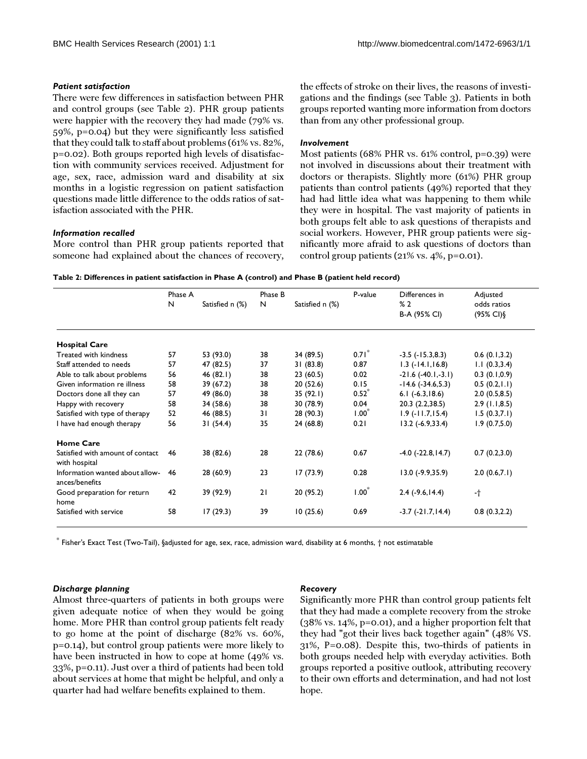#### *Patient satisfaction*

There were few differences in satisfaction between PHR and control groups (see Table [2\)](#page-3-0). PHR group patients were happier with the recovery they had made (79% vs. 59%, p=0.04) but they were significantly less satisfied that they could talk to staff about problems (61% vs. 82%, p=0.02). Both groups reported high levels of disatisfaction with community services received. Adjustment for age, sex, race, admission ward and disability at six months in a logistic regression on patient satisfaction questions made little difference to the odds ratios of satisfaction associated with the PHR.

## *Information recalled*

More control than PHR group patients reported that someone had explained about the chances of recovery,

the effects of stroke on their lives, the reasons of investigations and the findings (see Table [3\)](#page-4-0). Patients in both groups reported wanting more information from doctors than from any other professional group.

#### *Involvement*

<span id="page-3-0"></span>Most patients (68% PHR vs. 61% control, p=0.39) were not involved in discussions about their treatment with doctors or therapists. Slightly more (61%) PHR group patients than control patients (49%) reported that they had had little idea what was happening to them while they were in hospital. The vast majority of patients in both groups felt able to ask questions of therapists and social workers. However, PHR group patients were significantly more afraid to ask questions of doctors than control group patients (21% vs. 4%, p=0.01).

| Table 2: Differences in patient satisfaction in Phase A (control) and Phase B (patient held record) |  |  |
|-----------------------------------------------------------------------------------------------------|--|--|
|-----------------------------------------------------------------------------------------------------|--|--|

|                                                   | Phase A |                 | Phase B |                 | P-value | Differences in         | Adjusted                           |
|---------------------------------------------------|---------|-----------------|---------|-----------------|---------|------------------------|------------------------------------|
|                                                   | N       | Satisfied n (%) | N       | Satisfied n (%) |         | %2<br>B-A (95% CI)     | odds ratios<br>$(95\% \text{ Cl})$ |
| <b>Hospital Care</b>                              |         |                 |         |                 |         |                        |                                    |
| Treated with kindness                             | 57      | 53 (93.0)       | 38      | 34 (89.5)       | 0.71    | $-3.5$ $(-15.3,8.3)$   | 0.6(0.1,3.2)                       |
| Staff attended to needs                           | 57      | 47 (82.5)       | 37      | 31(83.8)        | 0.87    | $1.3$ ( $-14.1,16.8$ ) | 1.1(0.3,3.4)                       |
| Able to talk about problems                       | 56      | 46(82.1)        | 38      | 23(60.5)        | 0.02    | $-21.6(-40.1,-3.1)$    | 0.3(0.1,0.9)                       |
| Given information re illness                      | 58      | 39 (67.2)       | 38      | 20(52.6)        | 0.15    | $-14.6$ $(-34.6,5.3)$  | 0.5(0.2,1.1)                       |
| Doctors done all they can                         | 57      | 49 (86.0)       | 38      | 35(92.1)        | $0.52*$ | $6.1$ $(-6.3, 18.6)$   | 2.0(0.5,8.5)                       |
| Happy with recovery                               | 58      | 34 (58.6)       | 38      | 30 (78.9)       | 0.04    | 20.3 (2.2,38.5)        | $2.9$ (1.1,8.5)                    |
| Satisfied with type of therapy                    | 52      | 46 (88.5)       | 31      | 28 (90.3)       | $1.00*$ | $1.9$ ( $-11.7,15.4$ ) | 1.5(0.3,7.1)                       |
| I have had enough therapy                         | 56      | 31(54.4)        | 35      | 24 (68.8)       | 0.21    | $13.2 (-6.9, 33.4)$    | 1.9(0.7,5.0)                       |
| <b>Home Care</b>                                  |         |                 |         |                 |         |                        |                                    |
| Satisfied with amount of contact<br>with hospital | 46      | 38 (82.6)       | 28      | 22(78.6)        | 0.67    | $-4.0$ $(-22.8, 14.7)$ | 0.7(0.2,3.0)                       |
| Information wanted about allow-<br>ances/benefits | -46     | 28(60.9)        | 23      | 17(73.9)        | 0.28    | $13.0 (-9.9, 35.9)$    | 2.0(0.6,7.1)                       |
| Good preparation for return<br>home               | 42      | 39 (92.9)       | 21      | 20 (95.2)       | $1.00*$ | $2.4$ (-9.6, 14.4)     | -†                                 |
| Satisfied with service                            | 58      | 17(29.3)        | 39      | 10(25.6)        | 0.69    | $-3.7$ $(-21.7, 14.4)$ | 0.8(0.3, 2.2)                      |

\* Fisher's Exact Test (Two-Tail), §adjusted for age, sex, race, admission ward, disability at 6 months, † not estimatable

#### *Discharge planning*

# Almost three-quarters of patients in both groups were given adequate notice of when they would be going home. More PHR than control group patients felt ready to go home at the point of discharge (82% vs. 60%, p=0.14), but control group patients were more likely to have been instructed in how to cope at home (49% vs. 33%, p=0.11). Just over a third of patients had been told about services at home that might be helpful, and only a quarter had had welfare benefits explained to them.

#### *Recovery*

Significantly more PHR than control group patients felt that they had made a complete recovery from the stroke (38% vs. 14%, p=0.01), and a higher proportion felt that they had "got their lives back together again" (48% VS. 31%, P=0.08). Despite this, two-thirds of patients in both groups needed help with everyday activities. Both groups reported a positive outlook, attributing recovery to their own efforts and determination, and had not lost hope.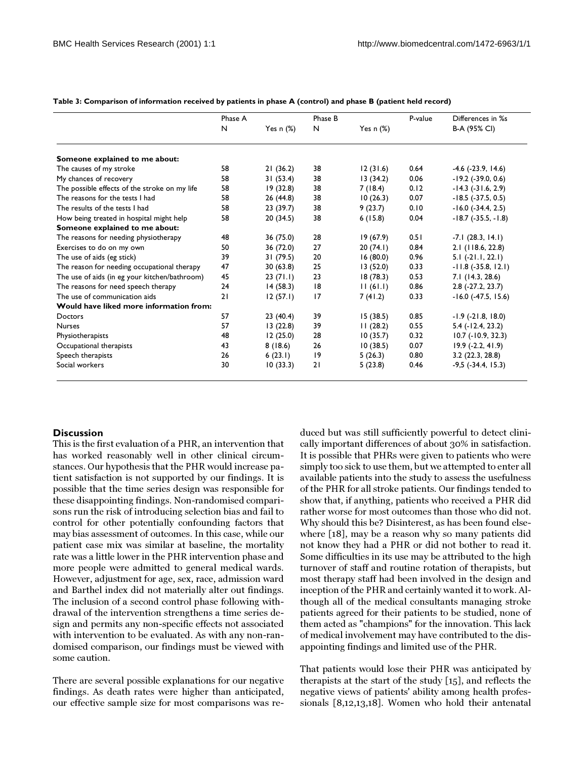|                                               | Phase A | Yes $n$ $(\%)$ | Phase B | Yes $n$ $(\%)$ | P-value | Differences in %s<br>B-A (95% CI) |
|-----------------------------------------------|---------|----------------|---------|----------------|---------|-----------------------------------|
|                                               | N       |                | N       |                |         |                                   |
| Someone explained to me about:                |         |                |         |                |         |                                   |
| The causes of my stroke                       | 58      | 21(36.2)       | 38      | 12(31.6)       | 0.64    | $-4.6$ ( $-23.9$ , 14.6)          |
| My chances of recovery                        | 58      | 31(53.4)       | 38      | 13(34.2)       | 0.06    | $-19.2$ ( $-39.0$ , 0.6)          |
| The possible effects of the stroke on my life | 58      | 19(32.8)       | 38      | 7 (18.4)       | 0.12    | $-14.3$ $(-31.6, 2.9)$            |
| The reasons for the tests I had               | 58      | 26 (44.8)      | 38      | 10(26.3)       | 0.07    | $-18.5$ ( $-37.5$ , 0.5)          |
| The results of the tests I had                | 58      | 23 (39.7)      | 38      | 9(23.7)        | 0.10    | $-16.0$ ( $-34.4$ , 2.5)          |
| How being treated in hospital might help      | 58      | 20(34.5)       | 38      | 6(15.8)        | 0.04    | $-18.7$ ( $-35.5, -1.8$ )         |
| Someone explained to me about:                |         |                |         |                |         |                                   |
| The reasons for needing physiotherapy         | 48      | 36 (75.0)      | 28      | 19(67.9)       | 0.51    | $-7.1(28.3, 14.1)$                |
| Exercises to do on my own                     | 50      | 36 (72.0)      | 27      | 20(74.1)       | 0.84    | 2.1 (118.6, 22.8)                 |
| The use of aids (eg stick)                    | 39      | 31 (79.5)      | 20      | 16(80.0)       | 0.96    | $5.1(-21.1, 22.1)$                |
| The reason for needing occupational therapy   | 47      | 30 (63.8)      | 25      | 13(52.0)       | 0.33    | $-11.8$ ( $-35.8$ , 12.1)         |
| The use of aids (in eg your kitchen/bathroom) | 45      | 23(71.1)       | 23      | 18(78.3)       | 0.53    | 7.1 (14.3, 28.6)                  |
| The reasons for need speech therapy           | 24      | 14(58.3)       | 18      | 11(61.1)       | 0.86    | $2.8$ (-27.2, 23.7)               |
| The use of communication aids                 | 21      | 12(57.1)       | 17      | 7(41.2)        | 0.33    | $-16.0$ $(-47.5, 15.6)$           |
| Would have liked more information from:       |         |                |         |                |         |                                   |
| Doctors                                       | 57      | 23(40.4)       | 39      | 15(38.5)       | 0.85    | $-1.9$ ( $-21.8$ , 18.0)          |
| <b>Nurses</b>                                 | 57      | 13(22.8)       | 39      | 11(28.2)       | 0.55    | $5.4$ ( $-12.4$ , 23.2)           |
| Physiotherapists                              | 48      | 12(25.0)       | 28      | 10(35.7)       | 0.32    | $10.7$ ( $-10.9$ , 32.3)          |
| Occupational therapists                       | 43      | 8(18.6)        | 26      | 10(38.5)       | 0.07    | $19.9$ (-2.2, 41.9)               |
| Speech therapists                             | 26      | 6(23.1)        | 19      | 5(26.3)        | 0.80    | 3.2(22.3, 28.8)                   |
| Social workers                                | 30      | 10(33.3)       | 21      | 5(23.8)        | 0.46    | $-9,5$ ( $-34.4$ , $15.3$ )       |

<span id="page-4-0"></span>**Table 3: Comparison of information received by patients in phase A (control) and phase B (patient held record)**

# **Discussion**

This is the first evaluation of a PHR, an intervention that has worked reasonably well in other clinical circumstances. Our hypothesis that the PHR would increase patient satisfaction is not supported by our findings. It is possible that the time series design was responsible for these disappointing findings. Non-randomised comparisons run the risk of introducing selection bias and fail to control for other potentially confounding factors that may bias assessment of outcomes. In this case, while our patient case mix was similar at baseline, the mortality rate was a little lower in the PHR intervention phase and more people were admitted to general medical wards. However, adjustment for age, sex, race, admission ward and Barthel index did not materially alter out findings. The inclusion of a second control phase following withdrawal of the intervention strengthens a time series design and permits any non-specific effects not associated with intervention to be evaluated. As with any non-randomised comparison, our findings must be viewed with some caution.

There are several possible explanations for our negative findings. As death rates were higher than anticipated, our effective sample size for most comparisons was reduced but was still sufficiently powerful to detect clinically important differences of about 30% in satisfaction. It is possible that PHRs were given to patients who were simply too sick to use them, but we attempted to enter all available patients into the study to assess the usefulness of the PHR for all stroke patients. Our findings tended to show that, if anything, patients who received a PHR did rather worse for most outcomes than those who did not. Why should this be? Disinterest, as has been found elsewhere [\[18](#page-5-17)], may be a reason why so many patients did not know they had a PHR or did not bother to read it. Some difficulties in its use may be attributed to the high turnover of staff and routine rotation of therapists, but most therapy staff had been involved in the design and inception of the PHR and certainly wanted it to work. Although all of the medical consultants managing stroke patients agreed for their patients to be studied, none of them acted as "champions" for the innovation. This lack of medical involvement may have contributed to the disappointing findings and limited use of the PHR.

That patients would lose their PHR was anticipated by therapists at the start of the study [\[15](#page-5-14)], and reflects the negative views of patients' ability among health professionals [\[8,](#page-5-7)[12](#page-5-11),[13](#page-5-12)[,18](#page-5-17)]. Women who hold their antenatal